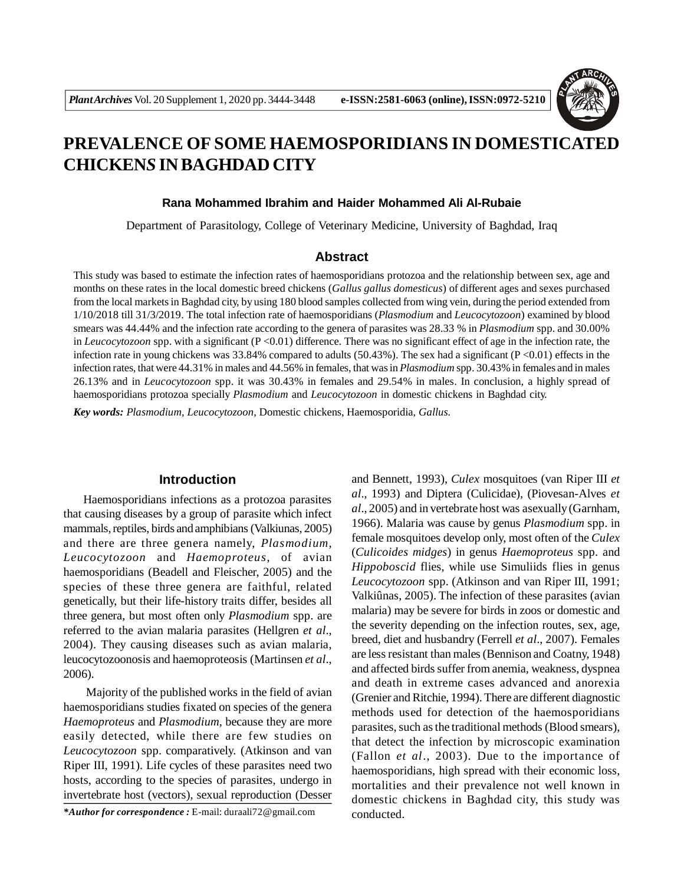

# **PREVALENCE OF SOME HAEMOSPORIDIANS IN DOMESTICATED CHICKEN***S* **IN BAGHDAD CITY**

### **Rana Mohammed Ibrahim and Haider Mohammed Ali Al-Rubaie**

Department of Parasitology, College of Veterinary Medicine, University of Baghdad, Iraq

# **Abstract**

This study was based to estimate the infection rates of haemosporidians protozoa and the relationship between sex, age and months on these rates in the local domestic breed chickens (*Gallus gallus domesticus*) of different ages and sexes purchased from the local markets in Baghdad city, by using 180 blood samples collected from wing vein, during the period extended from 1/10/2018 till 31/3/2019. The total infection rate of haemosporidians (*Plasmodium* and *Leucocytozoon*) examined by blood smears was 44.44% and the infection rate according to the genera of parasites was 28.33 % in *Plasmodium* spp. and 30.00% in *Leucocytozoon* spp. with a significant  $(P<0.01)$  difference. There was no significant effect of age in the infection rate, the infection rate in young chickens was  $33.84\%$  compared to adults (50.43%). The sex had a significant (P <0.01) effects in the infection rates, that were 44.31% in males and 44.56% in females, that was in *Plasmodium* spp. 30.43% in females and in males 26.13% and in *Leucocytozoon* spp. it was 30.43% in females and 29.54% in males. In conclusion, a highly spread of haemosporidians protozoa specially *Plasmodium* and *Leucocytozoon* in domestic chickens in Baghdad city.

*Key words: Plasmodium*, *Leucocytozoon*, Domestic chickens, Haemosporidia, *Gallus.*

# **Introduction**

Haemosporidians infections as a protozoa parasites that causing diseases by a group of parasite which infect mammals, reptiles, birds and amphibians (Valkiunas, 2005) and there are three genera namely, *Plasmodium, Leucocytozoon* and *Haemoproteus*, of avian haemosporidians (Beadell and Fleischer, 2005) and the species of these three genera are faithful, related genetically, but their life-history traits differ, besides all three genera, but most often only *Plasmodium* spp. are referred to the avian malaria parasites (Hellgren *et al*., 2004). They causing diseases such as avian malaria, leucocytozoonosis and haemoproteosis (Martinsen *et al*., 2006).

 Majority of the published works in the field of avian haemosporidians studies fixated on species of the genera *Haemoproteus* and *Plasmodium*, because they are more easily detected, while there are few studies on *Leucocytozoon* spp. comparatively. (Atkinson and van Riper III, 1991). Life cycles of these parasites need two hosts, according to the species of parasites, undergo in invertebrate host (vectors), sexual reproduction (Desser

*\*Author for correspondence :* E-mail: duraali72@gmail.com

and Bennett, 1993), *Culex* mosquitoes (van Riper III *et al*., 1993) and Diptera (Culicidae), (Piovesan-Alves *et al*., 2005) and in vertebrate host was asexually (Garnham, 1966). Malaria was cause by genus *Plasmodium* spp. in female mosquitoes develop only, most often of the *Culex* (*Culicoides midges*) in genus *Haemoproteus* spp. and *Hippoboscid* flies, while use Simuliids flies in genus *Leucocytozoon* spp. (Atkinson and van Riper III, 1991; Valkiûnas, 2005). The infection of these parasites (avian malaria) may be severe for birds in zoos or domestic and the severity depending on the infection routes, sex, age, breed, diet and husbandry (Ferrell *et al*., 2007). Females are less resistant than males (Bennison and Coatny, 1948) and affected birds suffer from anemia, weakness, dyspnea and death in extreme cases advanced and anorexia (Grenier and Ritchie, 1994). There are different diagnostic methods used for detection of the haemosporidians parasites, such as the traditional methods (Blood smears), that detect the infection by microscopic examination (Fallon *et al*., 2003). Due to the importance of haemosporidians, high spread with their economic loss, mortalities and their prevalence not well known in domestic chickens in Baghdad city, this study was conducted.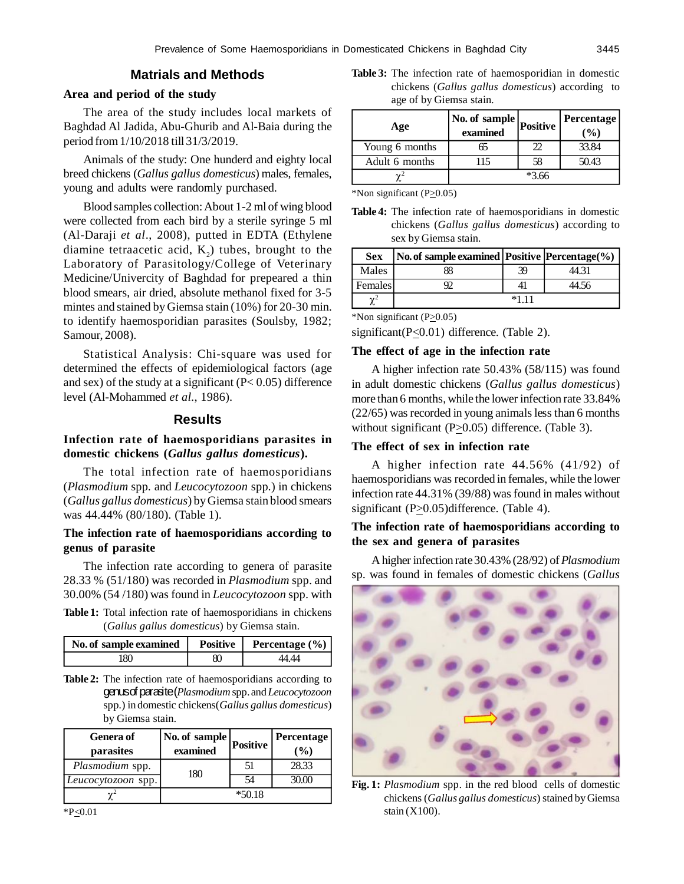# **Matrials and Methods**

#### **Area and period of the study**

The area of the study includes local markets of Baghdad Al Jadida, Abu-Ghurib and Al-Baia during the period from 1/10/2018 till 31/3/2019.

Animals of the study: One hunderd and eighty local breed chickens (*Gallus gallus domesticus*) males, females, young and adults were randomly purchased.

Blood samples collection: About 1-2 ml of wing blood were collected from each bird by a sterile syringe 5 ml (Al-Daraji *et al*., 2008), putted in EDTA (Ethylene diamine tetraacetic acid,  $K_2$ ) tubes, brought to the Laboratory of Parasitology/College of Veterinary Medicine/Univercity of Baghdad for prepeared a thin blood smears, air dried, absolute methanol fixed for 3-5 mintes and stained by Giemsa stain (10%) for 20-30 min. to identify haemosporidian parasites (Soulsby, 1982; Samour, 2008).

Statistical Analysis: Chi-square was used for determined the effects of epidemiological factors (age and sex) of the study at a significant  $(P< 0.05)$  difference level (Al-Mohammed *et al.*, 1986).

## **Results**

# **Infection rate of haemosporidians parasites in domestic chickens (***Gallus gallus domesticus***).**

The total infection rate of haemosporidians (*Plasmodium* spp*.* and *Leucocytozoon* spp*.*) in chickens (*Gallus gallus domesticus*) by Giemsa stain blood smears was 44.44% (80/180). (Table 1).

### **The infection rate of haemosporidians according to genus of parasite**

The infection rate according to genera of parasite 28.33 % (51/180) was recorded in *Plasmodium* spp. and 30.00% (54 /180) was found in *Leucocytozoon* spp. with

**Table 1:** Total infection rate of haemosporidians in chickens (*Gallus gallus domesticus*) by Giemsa stain.

| No. of sample examined |   | Positive   Percentage $(\% )$ |
|------------------------|---|-------------------------------|
| 180                    | ধ |                               |

**Table 2:** The infection rate of haemosporidians according to genus of parasite (*Plasmodium* spp. and *Leucocytozoon* spp*.*) in domestic chickens(*Gallus gallus domesticus*) by Giemsa stain.

| <b>Genera</b> of   | No. of sample | <b>Positive</b> | Percentage    |
|--------------------|---------------|-----------------|---------------|
| parasites          | examined      |                 | $\frac{9}{6}$ |
| Plasmodium spp.    | 180           | 51              | 28.33         |
| Leucocytozoon spp. |               | 54              |               |
|                    |               | $*50.18$        |               |

\*P<0.01

**Table 3:** The infection rate of haemosporidian in domestic chickens (*Gallus gallus domesticus*) according to age of by Giemsa stain.

| Age            | No. of sample<br>examined | <b>Positive</b> | Percentage<br>(%) |
|----------------|---------------------------|-----------------|-------------------|
| Young 6 months | 65                        |                 | 33.84             |
| Adult 6 months |                           | 58              | 50.43             |
|                |                           | $*2$            |                   |

\*Non significant ( $P \ge 0.05$ )

**Table 4:** The infection rate of haemosporidians in domestic chickens (*Gallus gallus domesticus*) according to sex by Giemsa stain.

| <b>Sex</b> | No. of sample examined   Positive   Percentage(%) |    |       |
|------------|---------------------------------------------------|----|-------|
| Males      | 88                                                | 39 | 44.31 |
| Females    |                                                   |    | 44.56 |
|            |                                                   |    |       |

\*Non significant  $(P_20.05)$ 

significant(P<0.01) difference. (Table 2).

# **The effect of age in the infection rate**

A higher infection rate 50.43% (58/115) was found in adult domestic chickens (*Gallus gallus domesticus*) more than 6 months, while the lower infection rate 33.84% (22/65) was recorded in young animals less than 6 months without significant ( $P \geq 0.05$ ) difference. (Table 3).

### **The effect of sex in infection rate**

A higher infection rate 44.56% (41/92) of haemosporidians was recorded in females, while the lower infection rate 44.31% (39/88) was found in males without significant  $(P \geq 0.05)$ difference. (Table 4).

# **The infection rate of haemosporidians according to the sex and genera of parasites**

A higher infection rate 30.43% (28/92) of *Plasmodium* sp. was found in females of domestic chickens (*Gallus*



**Fig. 1:** *Plasmodium* spp. in the red bloodcells of domestic chickens (*Gallus gallus domesticus*) stained by Giemsa stain (X100).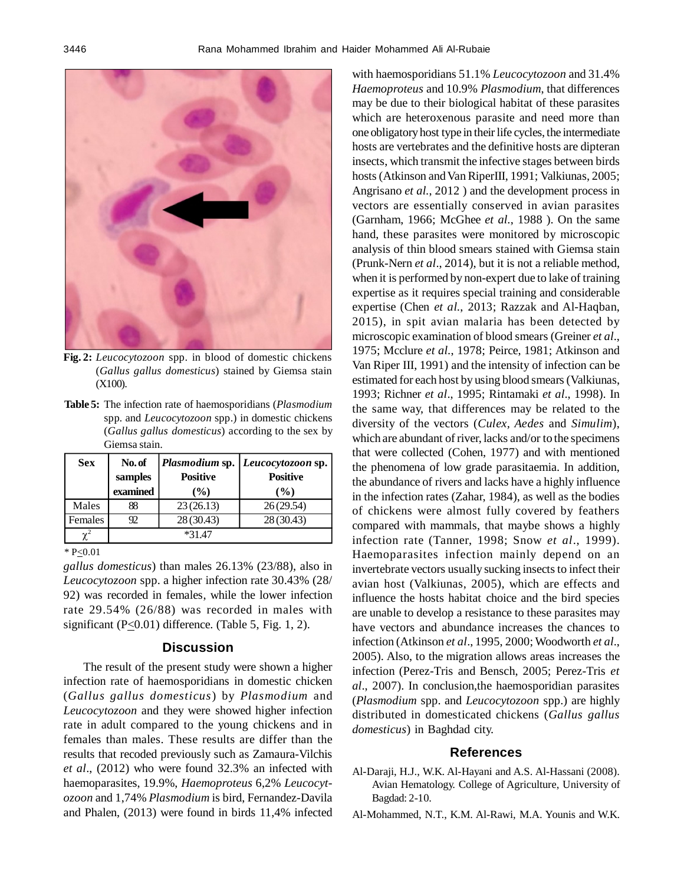

**Fig. 2:** *Leucocytozoon* spp. in blood of domestic chickens (*Gallus gallus domesticus*) stained by Giemsa stain (X100).

**Table 5:** The infection rate of haemosporidians (*Plasmodium* spp*.* and *Leucocytozoon* spp.) in domestic chickens (*Gallus gallus domesticus*) according to the sex by Giemsa stain.

| <b>Sex</b>     | No. of   |                 | Plasmodium sp.   Leucocytozoon sp. |
|----------------|----------|-----------------|------------------------------------|
|                | samples  | <b>Positive</b> | <b>Positive</b>                    |
|                | examined | $\frac{9}{6}$   | $($ %)                             |
| Males          | 88       | 23(26.13)       | 26(29.54)                          |
| Females        | 92       | 28(30.43)       | 28 (30.43)                         |
| $\mathbf{v}^2$ |          | $*3147$         |                                    |

\*  $P \le 0.01$ 

*gallus domesticus*) than males 26.13% (23/88), also in *Leucocytozoon* spp. a higher infection rate 30.43% (28/ 92) was recorded in females, while the lower infection rate 29.54% (26/88) was recorded in males with significant ( $P \le 0.01$ ) difference. (Table 5, Fig. 1, 2).

#### **Discussion**

The result of the present study were shown a higher infection rate of haemosporidians in domestic chicken (*Gallus gallus domesticus*) by *Plasmodium* and *Leucocytozoon* and they were showed higher infection rate in adult compared to the young chickens and in females than males. These results are differ than the results that recoded previously such as Zamaura-Vilchis *et al*., (2012) who were found 32.3% an infected with haemoparasites, 19.9%, *Haemoproteus* 6,2% *Leucocytozoon* and 1,74% *Plasmodium* is bird, Fernandez-Davila and Phalen, (2013) were found in birds 11,4% infected

with haemosporidians 51.1% *Leucocytozoon* and 31.4% *Haemoproteus* and 10.9% *Plasmodium*, that differences may be due to their biological habitat of these parasites which are heteroxenous parasite and need more than one obligatory host type in their life cycles, the intermediate hosts are vertebrates and the definitive hosts are dipteran insects, which transmit the infective stages between birds hosts (Atkinson and Van RiperIII, 1991; Valkiunas, 2005; Angrisano *et al.*, 2012 ) and the development process in vectors are essentially conserved in avian parasites (Garnham, 1966; McGhee *et al.*, 1988 ). On the same hand, these parasites were monitored by microscopic analysis of thin blood smears stained with Giemsa stain (Prunk-Nern *et al*., 2014), but it is not a reliable method, when it is performed by non-expert due to lake of training expertise as it requires special training and considerable expertise (Chen *et al.*, 2013; Razzak and Al-Haqban, 2015), in spit avian malaria has been detected by microscopic examination of blood smears (Greiner *et al*., 1975; Mcclure *et al.*, 1978; Peirce, 1981; Atkinson and Van Riper III, 1991) and the intensity of infection can be estimated for each host by using blood smears (Valkiunas, 1993; Richner *et al*., 1995; Rintamaki *et al*., 1998). In the same way, that differences may be related to the diversity of the vectors (*Culex, Aedes* and *Simulim*), which are abundant of river, lacks and/or to the specimens that were collected (Cohen, 1977) and with mentioned the phenomena of low grade parasitaemia. In addition, the abundance of rivers and lacks have a highly influence in the infection rates (Zahar, 1984), as well as the bodies of chickens were almost fully covered by feathers compared with mammals, that maybe shows a highly infection rate (Tanner, 1998; Snow *et al*., 1999). Haemoparasites infection mainly depend on an invertebrate vectors usually sucking insects to infect their avian host (Valkiunas, 2005), which are effects and influence the hosts habitat choice and the bird species are unable to develop a resistance to these parasites may have vectors and abundance increases the chances to infection (Atkinson *et al*., 1995, 2000; Woodworth *et al*., 2005). Also, to the migration allows areas increases the infection (Perez-Tris and Bensch, 2005; Perez-Tris *et al*., 2007). In conclusion,the haemosporidian parasites (*Plasmodium* spp. and *Leucocytozoon* spp.) are highly distributed in domesticated chickens (*Gallus gallus domesticus*) in Baghdad city.

#### **References**

- Al-Daraji, H.J., W.K. Al-Hayani and A.S. Al-Hassani (2008). Avian Hematology. College of Agriculture, University of Bagdad: 2-10.
- Al-Mohammed, N.T., K.M. Al-Rawi, M.A. Younis and W.K.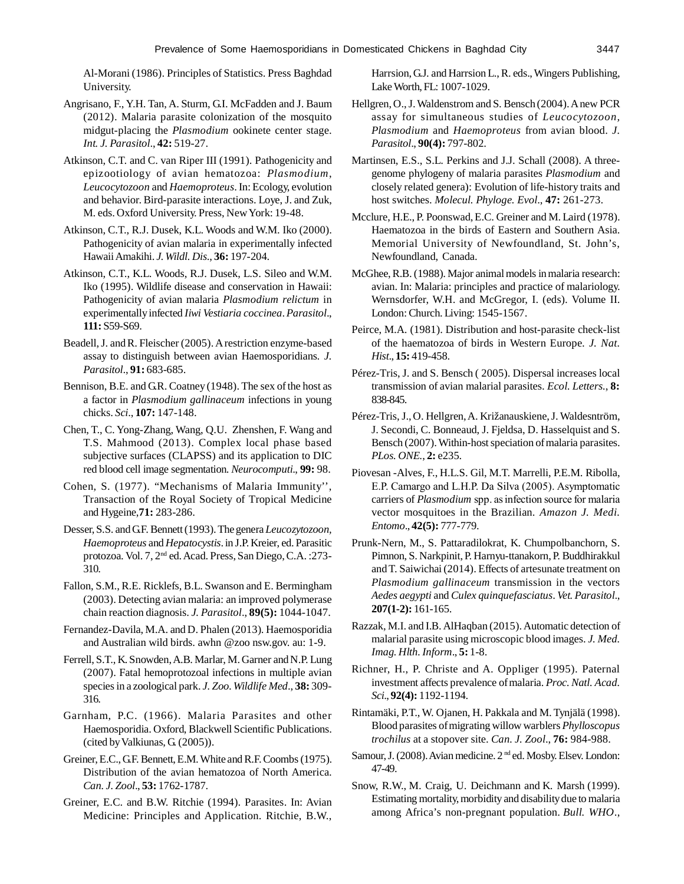Al-Morani (1986). Principles of Statistics. Press Baghdad University.

- Angrisano, F., Y.H. Tan, A. Sturm, G.I. McFadden and J. Baum (2012). Malaria parasite colonization of the mosquito midgut-placing the *Plasmodium* ookinete center stage. *Int. J. Parasitol*., **42:** 519-27.
- Atkinson, C.T. and C. van Riper III (1991). Pathogenicity and epizootiology of avian hematozoa: *Plasmodium*, *Leucocytozoon* and *Haemoproteus*. In: Ecology, evolution and behavior. Bird-parasite interactions. Loye, J. and Zuk, M. eds. Oxford University. Press, New York: 19-48.
- Atkinson, C.T., R.J. Dusek, K.L. Woods and W.M. Iko (2000). Pathogenicity of avian malaria in experimentally infected Hawaii Amakihi. *J. Wildl. Dis*., **36:** 197-204.
- Atkinson, C.T., K.L. Woods, R.J. Dusek, L.S. Sileo and W.M. Iko (1995). Wildlife disease and conservation in Hawaii: Pathogenicity of avian malaria *Plasmodium relictum* in experimentally infected *Iiwi Vestiaria coccinea*. *Parasitol*., **111:** S59-S69.
- Beadell, J. and R. Fleischer (2005). A restriction enzyme-based assay to distinguish between avian Haemosporidians*. J. Parasitol*., **91:** 683-685.
- Bennison, B.E. and G.R. Coatney (1948). The sex of the host as a factor in *Plasmodium gallinaceum* infections in young chicks. *Sci*., **107:** 147-148.
- Chen, T., C. Yong-Zhang, Wang, Q.U. Zhenshen, F. Wang and T.S. Mahmood (2013). Complex local phase based subjective surfaces (CLAPSS) and its application to DIC red blood cell image segmentation. *Neurocomputi*., **99:** 98.
- Cohen, S. (1977). "Mechanisms of Malaria Immunity'', Transaction of the Royal Society of Tropical Medicine and Hygeine,**71:** 283-286.
- Desser, S.S. and GF. Bennett (1993). The genera *Leucozytozoon*, *Haemoproteus* and *Hepatocystis*. in J.P. Kreier, ed. Parasitic protozoa. Vol. 7, 2nd ed. Acad. Press, San Diego, C.A. :273- 310.
- Fallon, S.M., R.E. Ricklefs, B.L. Swanson and E. Bermingham (2003). Detecting avian malaria: an improved polymerase chain reaction diagnosis. *J. Parasitol*., **89(5):** 1044-1047.
- Fernandez-Davila, M.A. and D. Phalen (2013). Haemosporidia and Australian wild birds. awhn @zoo nsw.gov. au: 1-9.
- Ferrell, S.T., K. Snowden, A.B. Marlar, M. Garner and N.P. Lung (2007). Fatal hemoprotozoal infections in multiple avian species in a zoological park. *J. Zoo. Wildlife Med*., **38:** 309- 316.
- Garnham, P.C. (1966). Malaria Parasites and other Haemosporidia. Oxford, Blackwell Scientific Publications. (cited by Valkiunas, G. (2005)).
- Greiner, E.C., G.F. Bennett, E.M. White and R.F. Coombs (1975). Distribution of the avian hematozoa of North America. *Can. J. Zool*., **53:** 1762-1787.
- Greiner, E.C. and B.W. Ritchie (1994). Parasites. In: Avian Medicine: Principles and Application. Ritchie, B.W.,

Harrsion, G.J. and Harrsion L., R. eds., Wingers Publishing, Lake Worth, FL: 1007-1029.

- Hellgren, O., J. Waldenstrom and S. Bensch (2004). A new PCR assay for simultaneous studies of *Leucocytozoon, Plasmodium* and *Haemoproteus* from avian blood. *J. Parasitol*., **90(4):** 797-802.
- Martinsen, E.S., S.L. Perkins and J.J. Schall (2008). A threegenome phylogeny of malaria parasites *Plasmodium* and closely related genera): Evolution of life-history traits and host switches. *Molecul. Phyloge. Evol*., **47:** 261-273.
- Mcclure, H.E., P. Poonswad, E.C. Greiner and M. Laird (1978). Haematozoa in the birds of Eastern and Southern Asia. Memorial University of Newfoundland, St. John's, Newfoundland, Canada.
- McGhee, R.B. (1988). Major animal models in malaria research: avian. In: Malaria: principles and practice of malariology. Wernsdorfer, W.H. and McGregor, I. (eds). Volume II. London: Church. Living: 1545-1567.
- Peirce, M.A. (1981). Distribution and host-parasite check-list of the haematozoa of birds in Western Europe. *J. Nat. Hist*., **15:** 419-458.
- Pérez-Tris, J. and S. Bensch ( 2005). Dispersal increases local transmission of avian malarial parasites. *Ecol. Letters.*, **8:** 838-845.
- Pérez-Tris, J., O. Hellgren, A. Križanauskiene, J. Waldesntröm, J. Secondi, C. Bonneaud, J. Fjeldsa, D. Hasselquist and S. Bensch (2007). Within-host speciation of malaria parasites. *PLos. ONE.*, **2:** e235.
- Piovesan -Alves, F., H.L.S. Gil, M.T. Marrelli, P.E.M. Ribolla, E.P. Camargo and L.H.P. Da Silva (2005). Asymptomatic carriers of *Plasmodium* spp. as infection source for malaria vector mosquitoes in the Brazilian. *Amazon J. Medi. Entomo*., **42(5):** 777-779.
- Prunk-Nern, M., S. Pattaradilokrat, K. Chumpolbanchorn, S. Pimnon, S. Narkpinit, P. Harnyu-ttanakorn, P. Buddhirakkul and T. Saiwichai (2014). Effects of artesunate treatment on *Plasmodium gallinaceum* transmission in the vectors *Aedes aegypti* and *Culex quinquefasciatus*. *Vet. Parasitol*., **207(1-2):** 161-165.
- Razzak, M.I. and I.B. AlHaqban (2015). Automatic detection of malarial parasite using microscopic blood images. *J. Med. Imag. Hlth. Inform*., **5:** 1-8.
- Richner, H., P. Christe and A. Oppliger (1995). Paternal investment affects prevalence of malaria. *Proc. Natl. Acad. Sci*., **92(4):** 1192-1194.
- Rintamäki, P.T., W. Ojanen, H. Pakkala and M. Tynjälä (1998). Blood parasites of migrating willow warblers *Phylloscopus trochilus* at a stopover site. *Can. J. Zool*., **76:** 984-988.
- Samour, J. (2008). Avian medicine. 2<sup>nd</sup> ed. Mosby. Elsev. London: 47-49.
- Snow, R.W., M. Craig, U. Deichmann and K. Marsh (1999). Estimating mortality, morbidity and disability due to malaria among Africa's non-pregnant population. *Bull. WHO*.,